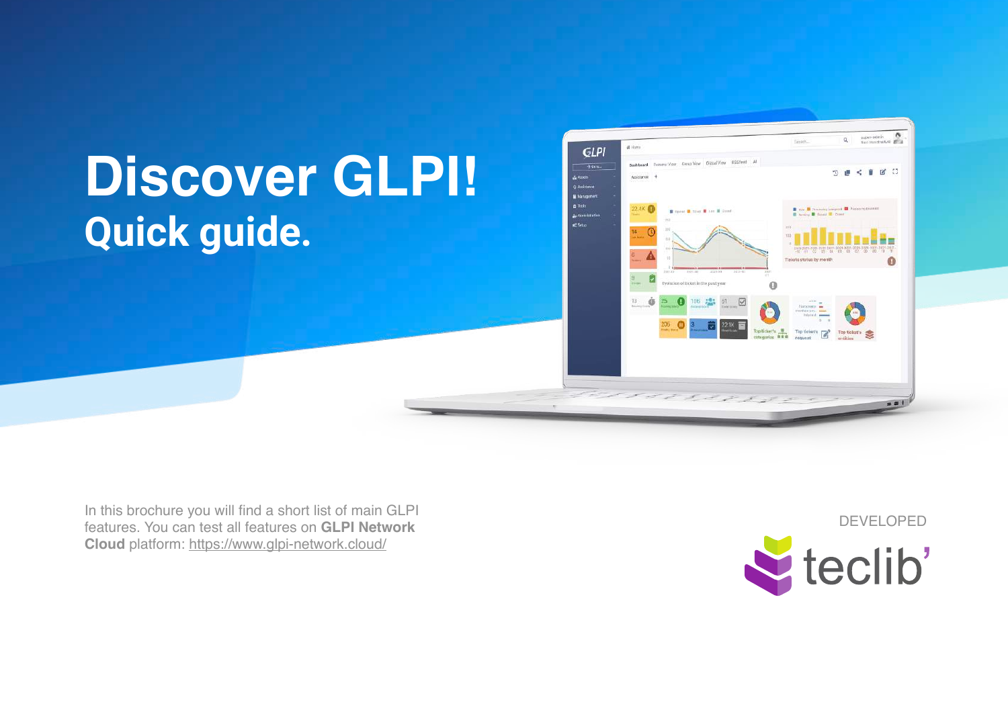## Discover GLPI! **Quick guide.**



In this brochure you will find a short list of main GLPI features. You can test all features on **GLPI Network Cloud** platform: <https://www.glpi-network.cloud/>

DEVELOPED

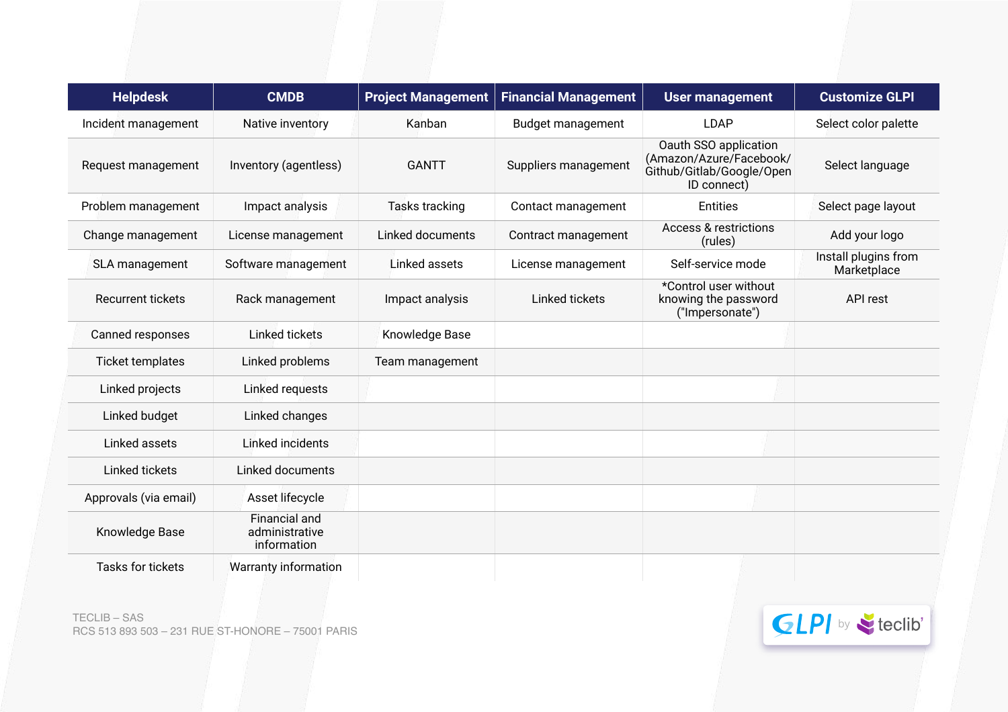| <b>Helpdesk</b>          | <b>CMDB</b>                                    | <b>Project Management</b> | <b>Financial Management</b> | <b>User management</b>                                                                       | <b>Customize GLPI</b>               |
|--------------------------|------------------------------------------------|---------------------------|-----------------------------|----------------------------------------------------------------------------------------------|-------------------------------------|
| Incident management      | Native inventory                               | Kanban                    | <b>Budget management</b>    | <b>LDAP</b>                                                                                  | Select color palette                |
| Request management       | Inventory (agentless)                          | <b>GANTT</b>              | Suppliers management        | Oauth SSO application<br>(Amazon/Azure/Facebook/<br>Github/Gitlab/Google/Open<br>ID connect) | Select language                     |
| Problem management       | Impact analysis                                | <b>Tasks tracking</b>     | Contact management          | <b>Entities</b>                                                                              | Select page layout                  |
| Change management        | License management                             | Linked documents          | Contract management         | <b>Access &amp; restrictions</b><br>(rules)                                                  | Add your logo                       |
| SLA management           | Software management                            | Linked assets             | License management          | Self-service mode                                                                            | Install plugins from<br>Marketplace |
| <b>Recurrent tickets</b> | Rack management                                | Impact analysis           | Linked tickets              | *Control user without<br>knowing the password<br>("Impersonate")                             | API rest                            |
| Canned responses         | Linked tickets                                 | Knowledge Base            |                             |                                                                                              |                                     |
| Ticket templates         | Linked problems                                | Team management           |                             |                                                                                              |                                     |
| Linked projects          | Linked requests                                |                           |                             |                                                                                              |                                     |
| Linked budget            | Linked changes                                 |                           |                             |                                                                                              |                                     |
| Linked assets            | Linked incidents                               |                           |                             |                                                                                              |                                     |
| Linked tickets           | Linked documents                               |                           |                             |                                                                                              |                                     |
| Approvals (via email)    | Asset lifecycle                                |                           |                             |                                                                                              |                                     |
| Knowledge Base           | Financial and<br>administrative<br>information |                           |                             |                                                                                              |                                     |
| Tasks for tickets        | <b>Warranty information</b>                    |                           |                             |                                                                                              |                                     |

TECLIB – SAS TECLIB – SAS<br>RCS 513 893 503 – 231 RUE ST-HONORE – 75001 PARIS by the contract of the contract of the contract of the contract of the contract of the contract of the contract of the contract of the contract of the contract